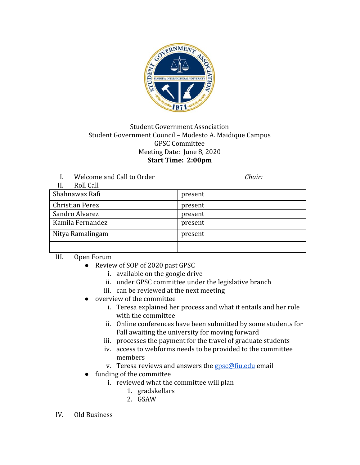

## Student Government Association Student Government Council – Modesto A. Maidique Campus GPSC Committee Meeting Date: June 8, 2020 **Start Time: 2:00pm**

I. Welcome and Call to Order *Chair:*

| Roll Call<br>II.       |         |
|------------------------|---------|
| Shahnawaz Rafi         | present |
| <b>Christian Perez</b> | present |
| Sandro Alvarez         | present |
| Kamila Fernandez       | present |
| Nitya Ramalingam       | present |
|                        |         |

III. Open Forum

- Review of SOP of 2020 past GPSC
	- i. available on the google drive
	- ii. under GPSC committee under the legislative branch
	- iii. can be reviewed at the next meeting
- overview of the committee
	- i. Teresa explained her process and what it entails and her role with the committee
	- ii. Online conferences have been submitted by some students for Fall awaiting the university for moving forward
	- iii. processes the payment for the travel of graduate students
	- iv. access to webforms needs to be provided to the committee members
	- v. Teresa reviews and answers the  $gpc@$  fiu.edu email
- funding of the committee
	- i. reviewed what the committee will plan
		- 1. gradskellars
		- 2. GSAW
- IV. Old Business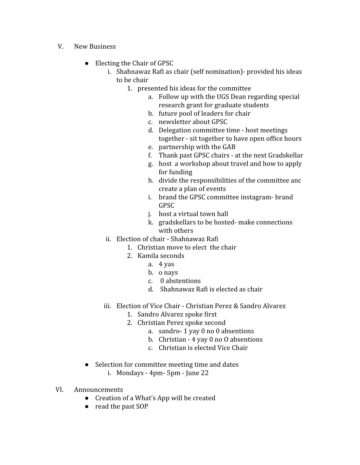- V. New Business
	- Electing the Chair of GPSC
		- i. Shahnawaz Rafi as chair (self nomination)- provided his ideas to be chair
			- 1. presented his ideas for the committee
				- a. Follow up with the UGS Dean regarding special research grant for graduate students
				- b. future pool of leaders for chair
				- c. newsletter about GPSC
				- d. Delegation committee time host meetings together - sit together to have open office hours
				- e. partnership with the GAB
				- f. Thank past GPSC chairs at the next Gradskellar
				- g. host a workshop about travel and how to apply for funding
				- h. divide the responsibilities of the committee anc create a plan of events
				- i. brand the GPSC committee instagram- brand GPSC
				- j. host a virtual town hall
				- k. gradskellars to be hosted- make connections with others
		- ii. Election of chair Shahnawaz Rafi
			- 1. Christian move to elect the chair
			- 2. Kamila seconds
				- a. 4 yas
				- b. o nays
				- c. 0 abstentions
				- d. Shahnawaz Rafi is elected as chair
		- iii. Election of Vice Chair Christian Perez & Sandro Alvarez
			- 1. Sandro Alvarez spoke first
			- 2. Christian Perez spoke second
				- a. sandro- 1 yay 0 no 0 absentions
				- b. Christian 4 yay 0 no O absentions
				- c. Christian is elected Vice Chair
	- Selection for committee meeting time and dates
		- i. Mondays 4pm- 5pm June 22
- VI. Announcements
	- Creation of a What's App will be created
	- read the past SOP